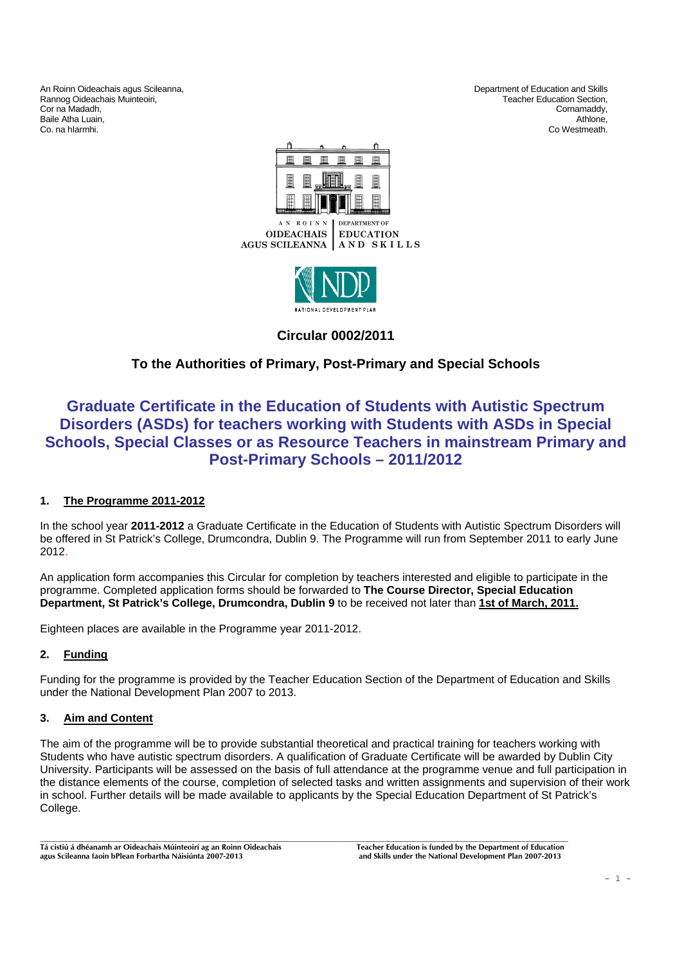An Roinn Oideachais agus Scileanna,<br>
Rannog Oideachais Muinteoiri, Christian and Skills and Skills and Skills and Skills and Skills and Skills and<br>
Department of Education and Skills and Skills and Skills and Skills and Sk Rannog Oideachais Muinteoiri, ann an t-aisteoir anns an t-aisteoir anns an t-aisteoir anns an t-aisteoir anns an t-aisteoir anns an t-aisteoir anns an t-aisteoir anns an t-aisteoir anns an t-aisteoir anns an t-aisteoir ann Cor na Madadh, Cornamaddy, Baile Atha Luain, **Athlone, Athlone, Athlone, Athlone, Athlone, Athlone, Athlone, Athlone, Athlone, Athlone, Athlone, Athlone, Athlone, Athlone, Athlone, Athlone, Athlone, Athlone, Athlone, Athlone, Athlone, Athlone, Athlo** Co. na hIarmhi. Co Westmeath.



AN ROINN **DEPARTMENT OF OIDEACHAIS EDUCATION** AGUS SCILEANNA AND SKILLS



**Circular 0002/2011** 

# **To the Authorities of Primary, Post-Primary and Special Schools**

# **Graduate Certificate in the Education of Students with Autistic Spectrum Disorders (ASDs) for teachers working with Students with ASDs in Special Schools, Special Classes or as Resource Teachers in mainstream Primary and Post-Primary Schools – 2011/2012**

# **1. The Programme 2011-2012**

In the school year **2011-2012** a Graduate Certificate in the Education of Students with Autistic Spectrum Disorders will be offered in St Patrick's College, Drumcondra, Dublin 9. The Programme will run from September 2011 to early June 2012.

An application form accompanies this Circular for completion by teachers interested and eligible to participate in the programme. Completed application forms should be forwarded to **The Course Director, Special Education Department, St Patrick's College, Drumcondra, Dublin 9** to be received not later than **1st of March, 2011.**

Eighteen places are available in the Programme year 2011-2012.

## **2. Funding**

Funding for the programme is provided by the Teacher Education Section of the Department of Education and Skills under the National Development Plan 2007 to 2013.

## **3. Aim and Content**

The aim of the programme will be to provide substantial theoretical and practical training for teachers working with Students who have autistic spectrum disorders. A qualification of Graduate Certificate will be awarded by Dublin City University. Participants will be assessed on the basis of full attendance at the programme venue and full participation in the distance elements of the course, completion of selected tasks and written assignments and supervision of their work in school. Further details will be made available to applicants by the Special Education Department of St Patrick's College.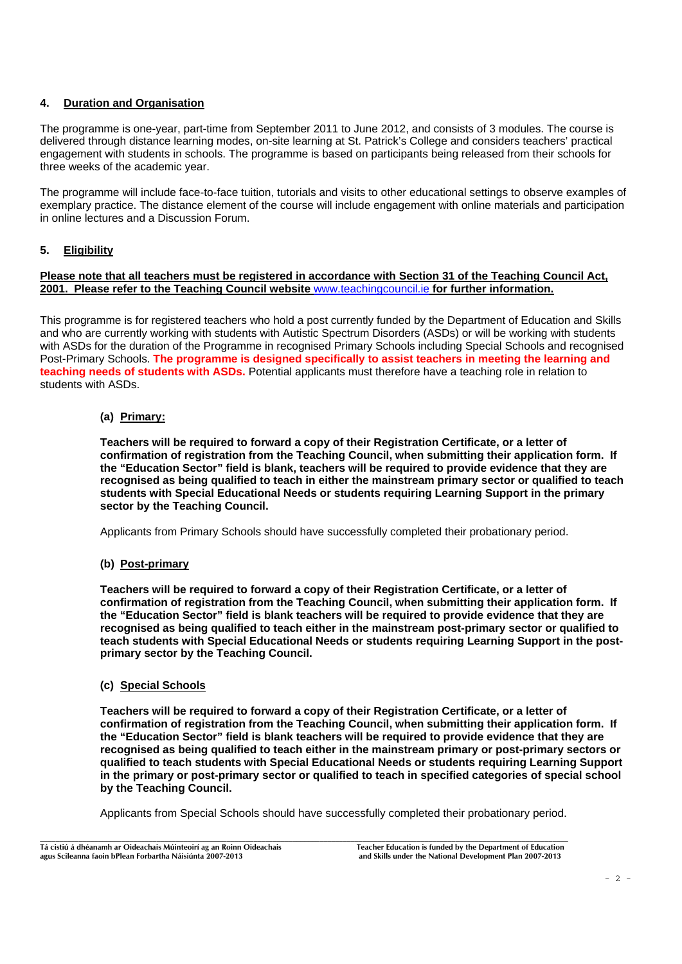# **4. Duration and Organisation**

The programme is one-year, part-time from September 2011 to June 2012, and consists of 3 modules. The course is delivered through distance learning modes, on-site learning at St. Patrick's College and considers teachers' practical engagement with students in schools. The programme is based on participants being released from their schools for three weeks of the academic year.

The programme will include face-to-face tuition, tutorials and visits to other educational settings to observe examples of exemplary practice. The distance element of the course will include engagement with online materials and participation in online lectures and a Discussion Forum.

# **5. Eligibility**

#### **Please note that all teachers must be registered in accordance with Section 31 of the Teaching Council Act, 2001. Please refer to the Teaching Council website** www.teachingcouncil.ie **for further information.**

This programme is for registered teachers who hold a post currently funded by the Department of Education and Skills and who are currently working with students with Autistic Spectrum Disorders (ASDs) or will be working with students with ASDs for the duration of the Programme in recognised Primary Schools including Special Schools and recognised Post-Primary Schools. **The programme is designed specifically to assist teachers in meeting the learning and teaching needs of students with ASDs.** Potential applicants must therefore have a teaching role in relation to students with ASDs.

## **(a) Primary:**

**Teachers will be required to forward a copy of their Registration Certificate, or a letter of confirmation of registration from the Teaching Council, when submitting their application form. If the "Education Sector" field is blank, teachers will be required to provide evidence that they are recognised as being qualified to teach in either the mainstream primary sector or qualified to teach students with Special Educational Needs or students requiring Learning Support in the primary sector by the Teaching Council.** 

Applicants from Primary Schools should have successfully completed their probationary period.

#### **(b) Post-primary**

**Teachers will be required to forward a copy of their Registration Certificate, or a letter of confirmation of registration from the Teaching Council, when submitting their application form. If the "Education Sector" field is blank teachers will be required to provide evidence that they are recognised as being qualified to teach either in the mainstream post-primary sector or qualified to teach students with Special Educational Needs or students requiring Learning Support in the postprimary sector by the Teaching Council.** 

#### **(c) Special Schools**

**Teachers will be required to forward a copy of their Registration Certificate, or a letter of confirmation of registration from the Teaching Council, when submitting their application form. If the "Education Sector" field is blank teachers will be required to provide evidence that they are recognised as being qualified to teach either in the mainstream primary or post-primary sectors or qualified to teach students with Special Educational Needs or students requiring Learning Support in the primary or post-primary sector or qualified to teach in specified categories of special school by the Teaching Council.** 

Applicants from Special Schools should have successfully completed their probationary period.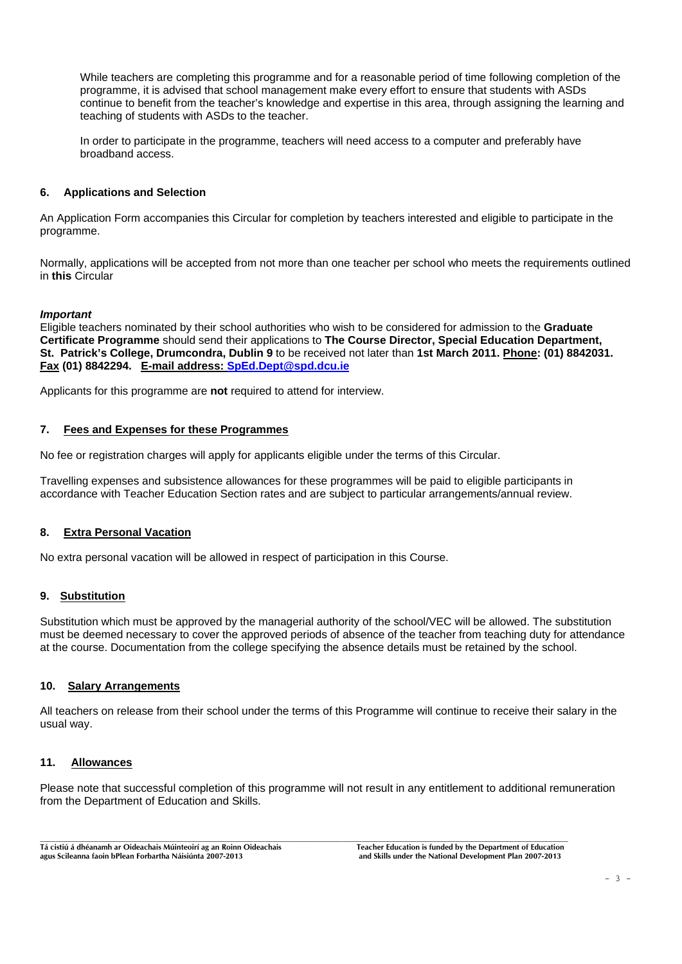While teachers are completing this programme and for a reasonable period of time following completion of the programme, it is advised that school management make every effort to ensure that students with ASDs continue to benefit from the teacher's knowledge and expertise in this area, through assigning the learning and teaching of students with ASDs to the teacher.

 In order to participate in the programme, teachers will need access to a computer and preferably have broadband access.

#### **6. Applications and Selection**

An Application Form accompanies this Circular for completion by teachers interested and eligible to participate in the programme.

Normally, applications will be accepted from not more than one teacher per school who meets the requirements outlined in **this** Circular

#### *Important*

Eligible teachers nominated by their school authorities who wish to be considered for admission to the **Graduate Certificate Programme** should send their applications to **The Course Director, Special Education Department, St. Patrick's College, Drumcondra, Dublin 9** to be received not later than **1st March 2011. Phone: (01) 8842031. Fax (01) 8842294. E-mail address: SpEd.Dept@spd.dcu.ie**

Applicants for this programme are **not** required to attend for interview.

#### **7. Fees and Expenses for these Programmes**

No fee or registration charges will apply for applicants eligible under the terms of this Circular.

Travelling expenses and subsistence allowances for these programmes will be paid to eligible participants in accordance with Teacher Education Section rates and are subject to particular arrangements/annual review.

#### **8. Extra Personal Vacation**

No extra personal vacation will be allowed in respect of participation in this Course.

#### **9. Substitution**

Substitution which must be approved by the managerial authority of the school/VEC will be allowed. The substitution must be deemed necessary to cover the approved periods of absence of the teacher from teaching duty for attendance at the course. Documentation from the college specifying the absence details must be retained by the school.

#### **10. Salary Arrangements**

All teachers on release from their school under the terms of this Programme will continue to receive their salary in the usual way.

# **11. Allowances**

Please note that successful completion of this programme will not result in any entitlement to additional remuneration from the Department of Education and Skills.

**Tá cistiú á dhéanamh ar Oideachais Múinteoirí ag an Roinn Oideachais Teacher Education is funded by the Department of Education agus Scileanna faoin bPlean Forbartha Náisiúnta 2007-2013 and Skills under the National Development Plan 2007-2013**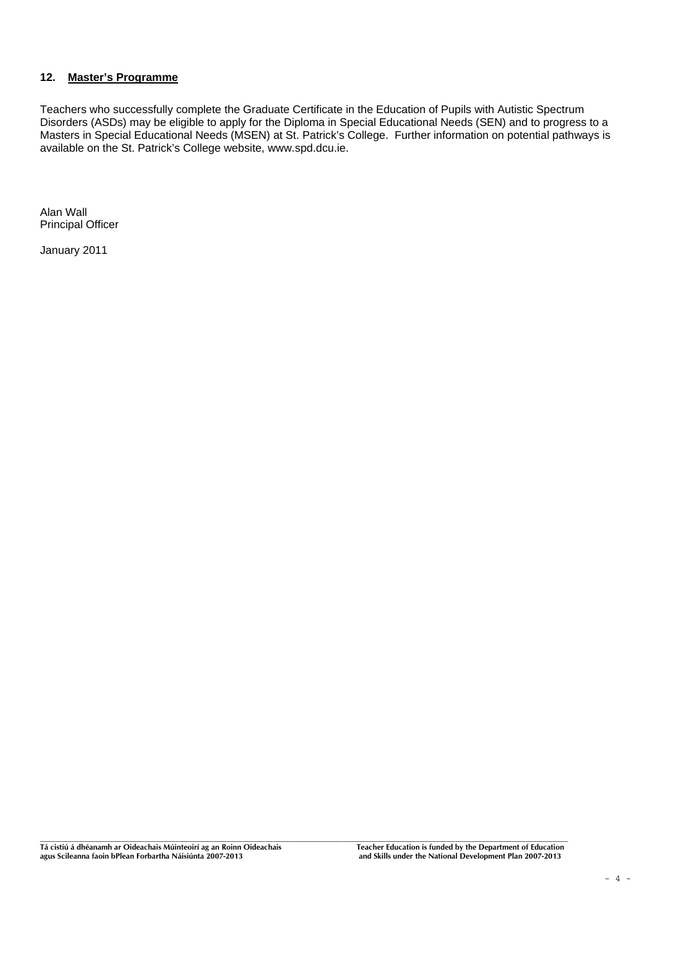#### **12. Master's Programme**

Teachers who successfully complete the Graduate Certificate in the Education of Pupils with Autistic Spectrum Disorders (ASDs) may be eligible to apply for the Diploma in Special Educational Needs (SEN) and to progress to a Masters in Special Educational Needs (MSEN) at St. Patrick's College. Further information on potential pathways is available on the St. Patrick's College website, www.spd.dcu.ie.

Alan Wall Principal Officer

January 2011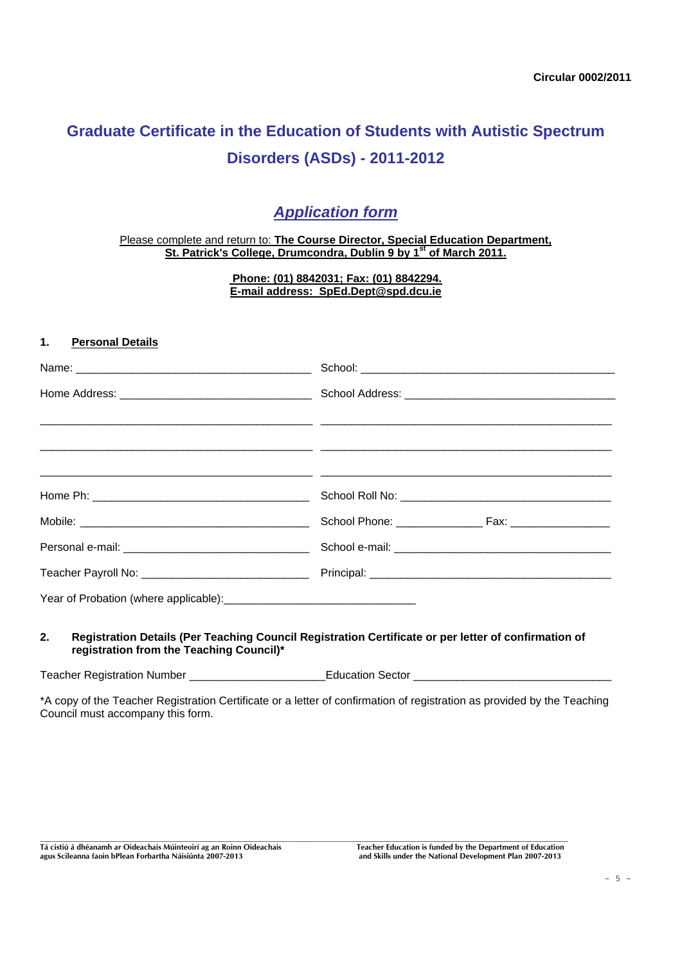# **Graduate Certificate in the Education of Students with Autistic Spectrum Disorders (ASDs) - 2011-2012**

# *Application form*

Please complete and return to: **The Course Director, Special Education Department, St. Patrick's College, Drumcondra, Dublin 9 by 1st of March 2011.** 

> **Phone: (01) 8842031; Fax: (01) 8842294. E-mail address: SpEd.Dept@spd.dcu.ie**

#### **1. Personal Details**

| ,我们也不会有什么。""我们的人,我们也不会有什么?""我们的人,我们也不会有什么?""我们的人,我们也不会有什么?""我们的人,我们也不会有什么?""我们的人 |  |  |
|----------------------------------------------------------------------------------|--|--|
|                                                                                  |  |  |
|                                                                                  |  |  |
|                                                                                  |  |  |
|                                                                                  |  |  |
|                                                                                  |  |  |

#### **2. Registration Details (Per Teaching Council Registration Certificate or per letter of confirmation of registration from the Teaching Council)\***

Teacher Registration Number \_\_\_\_\_\_\_\_\_\_\_\_\_\_\_\_\_\_\_\_\_\_Education Sector \_\_\_\_\_\_\_\_\_\_\_\_\_\_\_\_\_\_\_\_\_\_\_\_\_\_\_\_\_\_\_\_

\*A copy of the Teacher Registration Certificate or a letter of confirmation of registration as provided by the Teaching Council must accompany this form.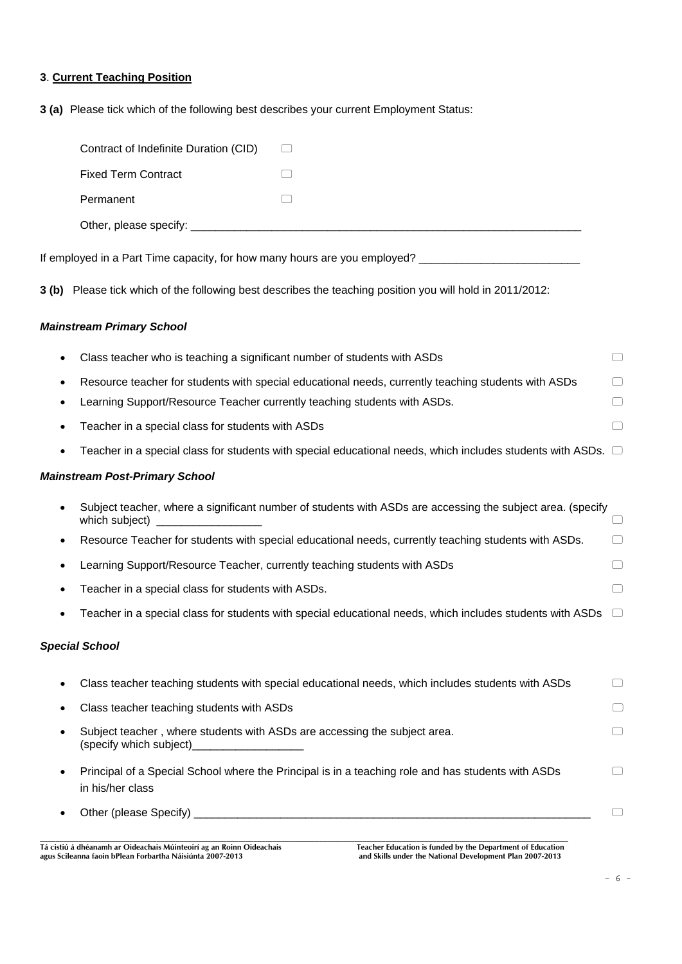# **3**. **Current Teaching Position**

**3 (a)** Please tick which of the following best describes your current Employment Status:

|   | Contract of Indefinite Duration (CID)                                                                                        |        |
|---|------------------------------------------------------------------------------------------------------------------------------|--------|
|   | <b>Fixed Term Contract</b>                                                                                                   |        |
|   | Permanent                                                                                                                    |        |
|   |                                                                                                                              |        |
|   | If employed in a Part Time capacity, for how many hours are you employed? _________________________                          |        |
|   | 3 (b) Please tick which of the following best describes the teaching position you will hold in 2011/2012:                    |        |
|   | <b>Mainstream Primary School</b>                                                                                             |        |
| ٠ | Class teacher who is teaching a significant number of students with ASDs                                                     |        |
|   | Resource teacher for students with special educational needs, currently teaching students with ASDs                          |        |
| ٠ | Learning Support/Resource Teacher currently teaching students with ASDs.                                                     | □      |
|   | Teacher in a special class for students with ASDs                                                                            |        |
|   | Teacher in a special class for students with special educational needs, which includes students with ASDs. $\Box$            |        |
|   | <b>Mainstream Post-Primary School</b>                                                                                        |        |
|   | Subject teacher, where a significant number of students with ASDs are accessing the subject area. (specify<br>which subject) |        |
|   | Resource Teacher for students with special educational needs, currently teaching students with ASDs.                         |        |
| ٠ | Learning Support/Resource Teacher, currently teaching students with ASDs                                                     |        |
| ٠ | Teacher in a special class for students with ASDs.                                                                           |        |
|   | Teacher in a special class for students with special educational needs, which includes students with ASDs                    |        |
|   | <b>Special School</b>                                                                                                        |        |
|   | Class teacher teaching students with special educational needs, which includes students with ASDs                            | $\Box$ |
|   | Class teacher teaching students with ASDs                                                                                    |        |
|   | Subject teacher, where students with ASDs are accessing the subject area.<br>(specify which subject)                         |        |
| ٠ | Principal of a Special School where the Principal is in a teaching role and has students with ASDs<br>in his/her class       |        |
|   |                                                                                                                              |        |

**Tá cistiú á dhéanamh ar Oideachais Múinteoirí ag an Roinn Oideachais Teacher Education is funded by the Department of Education agus Scileanna faoin bPlean Forbartha Náisiúnta 2007-2013 and Skills under the National Development Plan 2007-2013**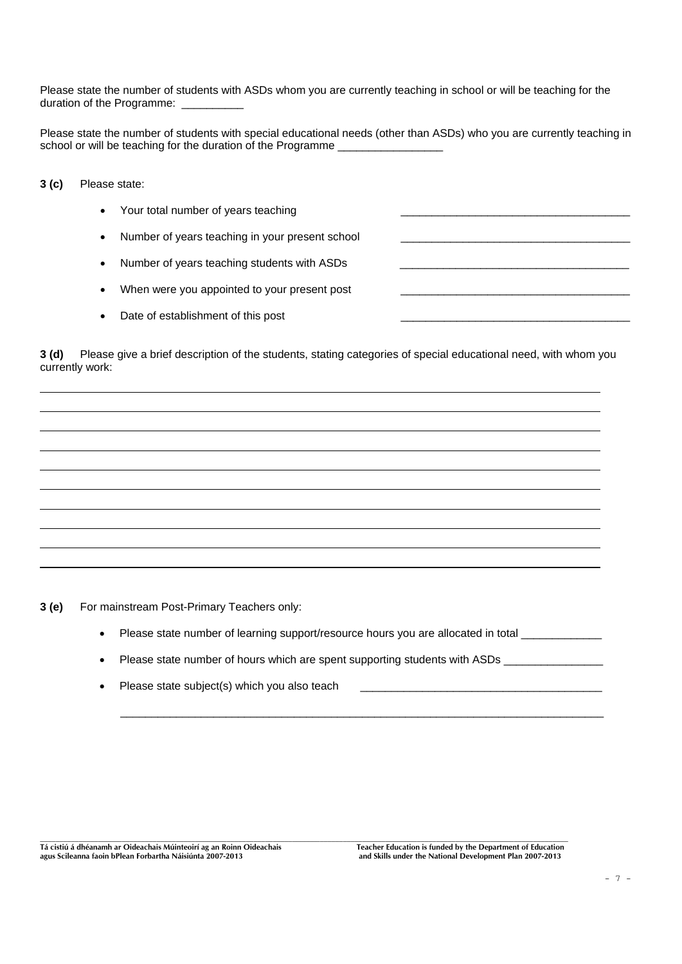Please state the number of students with ASDs whom you are currently teaching in school or will be teaching for the duration of the Programme:

Please state the number of students with special educational needs (other than ASDs) who you are currently teaching in school or will be teaching for the duration of the Programme \_\_\_\_\_\_\_\_\_\_\_\_\_\_\_\_\_\_\_

**3 (c)** Please state:

- Your total number of years teaching
- Number of years teaching in your present school
- Number of years teaching students with ASDs
- When were you appointed to your present post
- Date of establishment of this post

**3 (d)** Please give a brief description of the students, stating categories of special educational need, with whom you currently work:

**3 (e)** For mainstream Post-Primary Teachers only:

- Please state number of learning support/resource hours you are allocated in total
- Please state number of hours which are spent supporting students with ASDs

 $\frac{1}{2}$  ,  $\frac{1}{2}$  ,  $\frac{1}{2}$  ,  $\frac{1}{2}$  ,  $\frac{1}{2}$  ,  $\frac{1}{2}$  ,  $\frac{1}{2}$  ,  $\frac{1}{2}$  ,  $\frac{1}{2}$  ,  $\frac{1}{2}$  ,  $\frac{1}{2}$  ,  $\frac{1}{2}$  ,  $\frac{1}{2}$  ,  $\frac{1}{2}$  ,  $\frac{1}{2}$  ,  $\frac{1}{2}$  ,  $\frac{1}{2}$  ,  $\frac{1}{2}$  ,  $\frac{1$ 

• Please state subject(s) which you also teach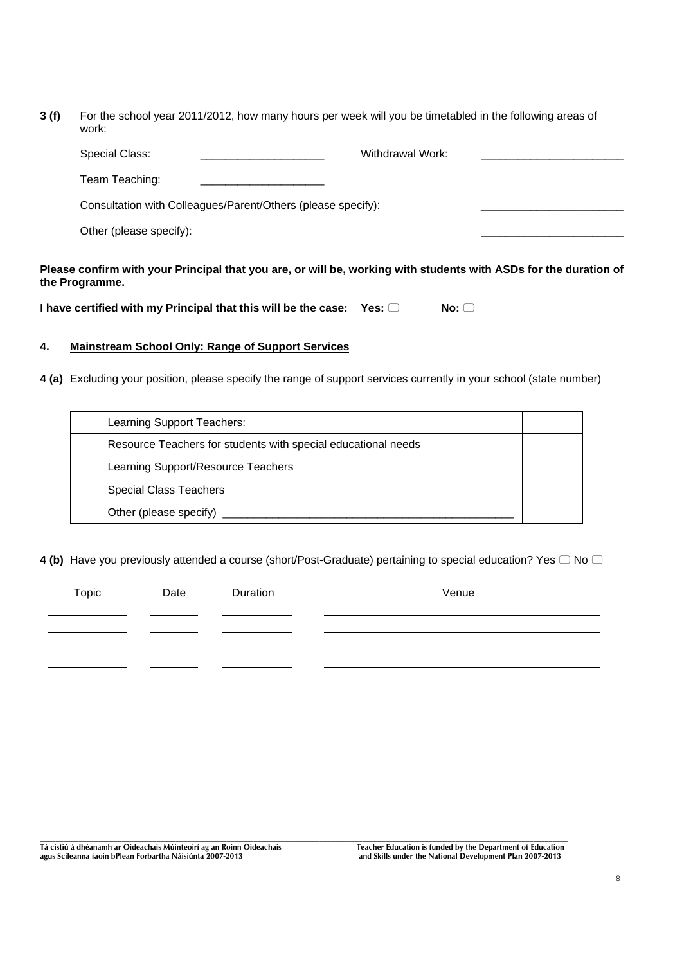**3 (f)** For the school year 2011/2012, how many hours per week will you be timetabled in the following areas of work:

| <b>Special Class:</b>   | Withdrawal Work:                                             |  |
|-------------------------|--------------------------------------------------------------|--|
| Team Teaching:          |                                                              |  |
|                         | Consultation with Colleagues/Parent/Others (please specify): |  |
| Other (please specify): |                                                              |  |
|                         |                                                              |  |

**Please confirm with your Principal that you are, or will be, working with students with ASDs for the duration of the Programme.** 

**I** have certified with my Principal that this will be the case:  $Yes: \Box$  No:  $\Box$ 

# **4. Mainstream School Only: Range of Support Services**

**4 (a)** Excluding your position, please specify the range of support services currently in your school (state number)

| Learning Support Teachers:                                    |  |
|---------------------------------------------------------------|--|
| Resource Teachers for students with special educational needs |  |
| Learning Support/Resource Teachers                            |  |
| <b>Special Class Teachers</b>                                 |  |
| Other (please specify)                                        |  |

**4 (b)** Have you previously attended a course (short/Post-Graduate) pertaining to special education? Yes  $\Box$  No  $\Box$ 

| Topic | Date | Duration | Venue |
|-------|------|----------|-------|
|       |      |          |       |
|       |      |          |       |
|       |      |          |       |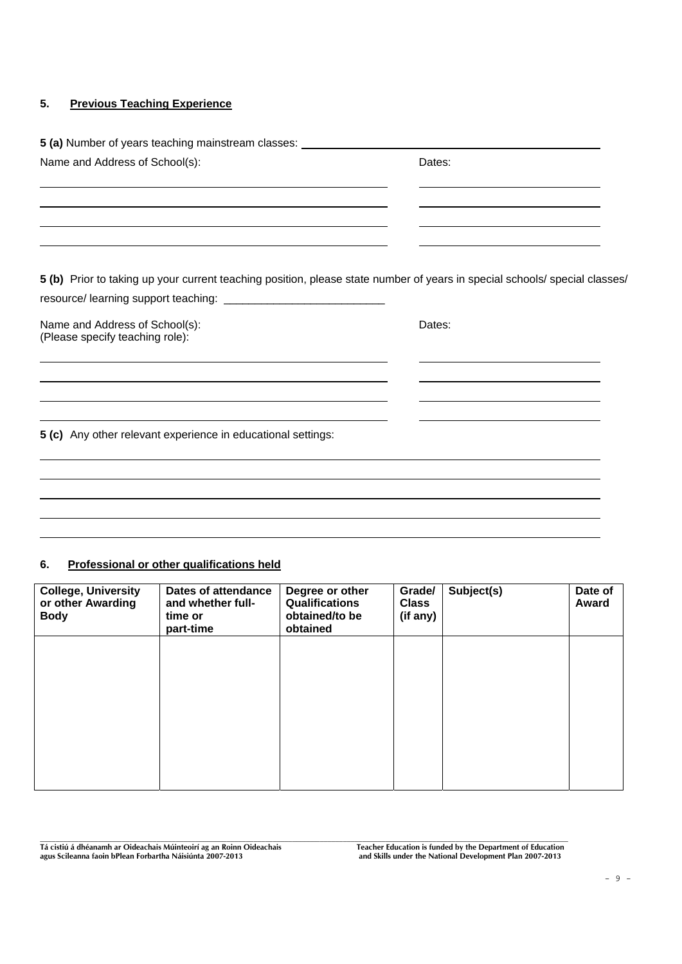# **5. Previous Teaching Experience**

| 5 (a) Number of years teaching mainstream classes: _____________________________                                                                                                                                                                                                              |                                                                                           |
|-----------------------------------------------------------------------------------------------------------------------------------------------------------------------------------------------------------------------------------------------------------------------------------------------|-------------------------------------------------------------------------------------------|
| Name and Address of School(s):                                                                                                                                                                                                                                                                | Dates:                                                                                    |
|                                                                                                                                                                                                                                                                                               | the control of the control of the control of the control of the control of the control of |
| 5 (b) Prior to taking up your current teaching position, please state number of years in special schools/ special classes/                                                                                                                                                                    |                                                                                           |
| Name and Address of School(s):<br>(Please specify teaching role):                                                                                                                                                                                                                             | Dates:                                                                                    |
|                                                                                                                                                                                                                                                                                               |                                                                                           |
| the control of the control of the control of the control of the control of the control of the control of the control of the control of the control of the control of the control of the control of the control of the control<br>5 (c) Any other relevant experience in educational settings: |                                                                                           |
|                                                                                                                                                                                                                                                                                               |                                                                                           |
|                                                                                                                                                                                                                                                                                               |                                                                                           |

#### **6. Professional or other qualifications held**

| <b>College, University</b><br>or other Awarding<br><b>Body</b> | <b>Dates of attendance</b><br>and whether full-<br>time or<br>part-time | Degree or other<br><b>Qualifications</b><br>obtained/to be<br>obtained | Grade/<br><b>Class</b><br>(if any) | Subject(s) | Date of<br>Award |
|----------------------------------------------------------------|-------------------------------------------------------------------------|------------------------------------------------------------------------|------------------------------------|------------|------------------|
|                                                                |                                                                         |                                                                        |                                    |            |                  |
|                                                                |                                                                         |                                                                        |                                    |            |                  |
|                                                                |                                                                         |                                                                        |                                    |            |                  |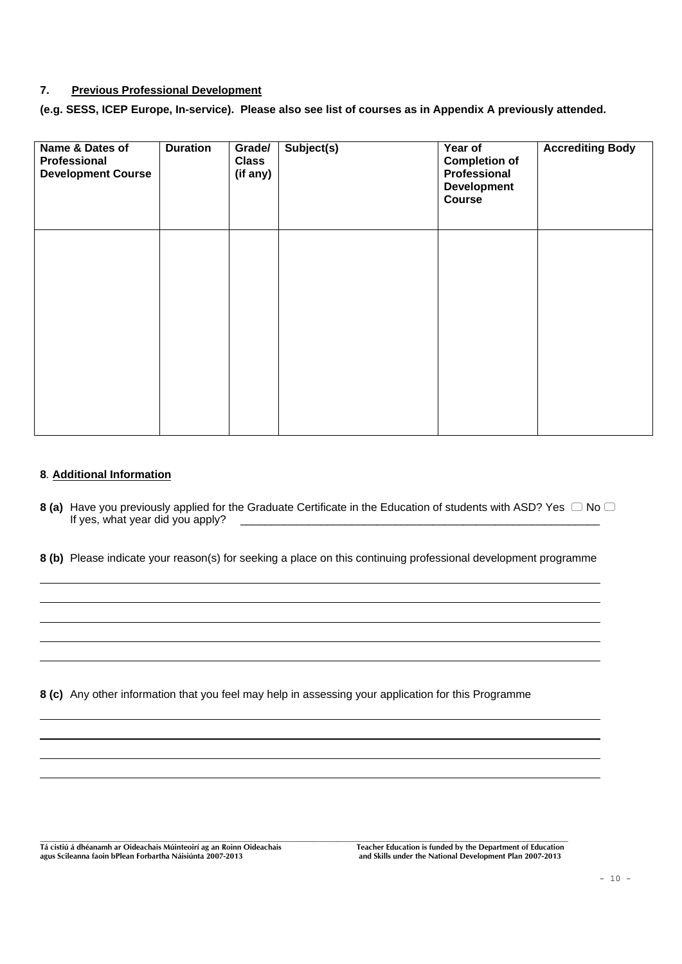#### **7. Previous Professional Development**

**(e.g. SESS, ICEP Europe, In-service). Please also see list of courses as in Appendix A previously attended.** 

| Name & Dates of<br>Professional<br><b>Development Course</b> | <b>Duration</b> | Grade/<br><b>Class</b><br>(if any) | Subject(s) | Year of<br><b>Completion of</b><br>Professional<br><b>Development</b><br>Course | <b>Accrediting Body</b> |
|--------------------------------------------------------------|-----------------|------------------------------------|------------|---------------------------------------------------------------------------------|-------------------------|
|                                                              |                 |                                    |            |                                                                                 |                         |
|                                                              |                 |                                    |            |                                                                                 |                         |

#### **8***.* **Additional Information**

- **8 (a)** Have you previously applied for the Graduate Certificate in the Education of students with ASD? Yes  $\Box$  No  $\Box$ <br>If yes, what year did you apply?  $\frac{1}{2}$  year did you apply?  $\frac{1}{2}$  you apply?  $\frac{1}{2}$  you apply?  $\frac{1}{2}$  you apply?  $\frac{1}{2}$
- **8 (b)** Please indicate your reason(s) for seeking a place on this continuing professional development programme

**8 (c)** Any other information that you feel may help in assessing your application for this Programme

**Tá cistiú á dhéanamh ar Oideachais Múinteoirí ag an Roinn Oideachais Teacher Education is funded by the Department of Education** 

and Skills under the National Development Plan 2007-2013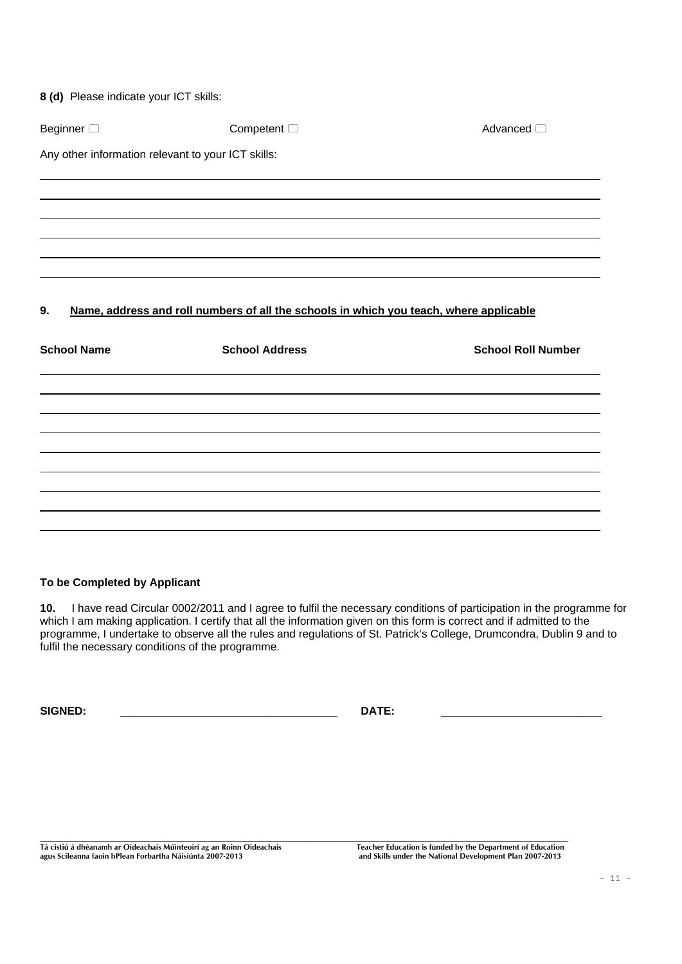|  |  |  | 8 (d) Please indicate your ICT skills: |  |  |  |
|--|--|--|----------------------------------------|--|--|--|
|--|--|--|----------------------------------------|--|--|--|

| Beginner <sup>1</sup>                              | Competent $\Box$                                                                       | Advanced $\Box$           |
|----------------------------------------------------|----------------------------------------------------------------------------------------|---------------------------|
| Any other information relevant to your ICT skills: |                                                                                        |                           |
|                                                    |                                                                                        |                           |
|                                                    |                                                                                        |                           |
|                                                    |                                                                                        |                           |
|                                                    |                                                                                        |                           |
| 9.                                                 | Name, address and roll numbers of all the schools in which you teach, where applicable |                           |
| <b>School Name</b>                                 | <b>School Address</b>                                                                  | <b>School Roll Number</b> |
|                                                    |                                                                                        |                           |
|                                                    |                                                                                        |                           |
|                                                    |                                                                                        |                           |

# **To be Completed by Applicant**

**10.** I have read Circular 0002/2011 and I agree to fulfil the necessary conditions of participation in the programme for which I am making application. I certify that all the information given on this form is correct and if admitted to the programme, I undertake to observe all the rules and regulations of St. Patrick's College, Drumcondra, Dublin 9 and to fulfil the necessary conditions of the programme.

**SIGNED:** \_\_\_\_\_\_\_\_\_\_\_\_\_\_\_\_\_\_\_\_\_\_\_\_\_\_\_\_\_\_\_\_\_\_\_ **DATE:** \_\_\_\_\_\_\_\_\_\_\_\_\_\_\_\_\_\_\_\_\_\_\_\_\_\_

**Tá cistiú á dhéanamh ar Oideachais Múinteoirí ag an Roinn Oideachais Teacher Education is funded by the Department of Education**